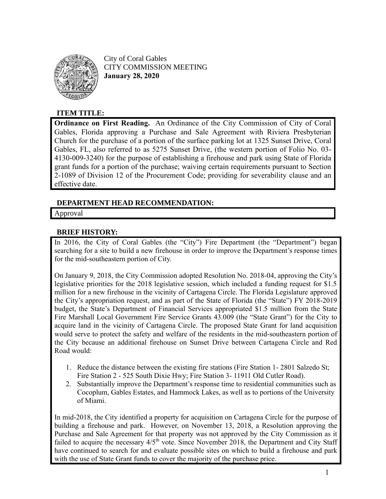

City of Coral Gables CITY COMMISSION MEETING **January 28, 2020**

## **ITEM TITLE:**

**Ordinance on First Reading.** An Ordinance of the City Commission of City of Coral Gables, Florida approving a Purchase and Sale Agreement with Riviera Presbyterian Church for the purchase of a portion of the surface parking lot at 1325 Sunset Drive, Coral Gables, FL, also referred to as 5275 Sunset Drive, (the western portion of Folio No. 03- 4130-009-3240) for the purpose of establishing a firehouse and park using State of Florida grant funds for a portion of the purchase; waiving certain requirements pursuant to Section 2-1089 of Division 12 of the Procurement Code; providing for severability clause and an effective date.

### **DEPARTMENT HEAD RECOMMENDATION:**

Approval

### **BRIEF HISTORY:**

In 2016, the City of Coral Gables (the "City") Fire Department (the "Department") began searching for a site to build a new firehouse in order to improve the Department's response times for the mid-southeastern portion of City.

On January 9, 2018, the City Commission adopted Resolution No. 2018-04, approving the City's legislative priorities for the 2018 legislative session, which included a funding request for \$1.5 million for a new firehouse in the vicinity of Cartagena Circle. The Florida Legislature approved the City's appropriation request, and as part of the State of Florida (the "State") FY 2018-2019 budget, the State's Department of Financial Services appropriated \$1.5 million from the State Fire Marshall Local Government Fire Service Grants 43.009 (the "State Grant") for the City to acquire land in the vicinity of Cartagena Circle. The proposed State Grant for land acquisition would serve to protect the safety and welfare of the residents in the mid-southeastern portion of the City because an additional firehouse on Sunset Drive between Cartagena Circle and Red Road would:

- 1. Reduce the distance between the existing fire stations (Fire Station 1- 2801 Salzedo St; Fire Station 2 - 525 South Dixie Hwy; Fire Station 3- 11911 Old Cutler Road).
- 2. Substantially improve the Department's response time to residential communities such as Cocoplum, Gables Estates, and Hammock Lakes, as well as to portions of the University of Miami.

In mid-2018, the City identified a property for acquisition on Cartagena Circle for the purpose of building a firehouse and park. However, on November 13, 2018, a Resolution approving the Purchase and Sale Agreement for that property was not approved by the City Commission as it failed to acquire the necessary  $4/5<sup>th</sup>$  vote. Since November 2018, the Department and City Staff have continued to search for and evaluate possible sites on which to build a firehouse and park with the use of State Grant funds to cover the majority of the purchase price.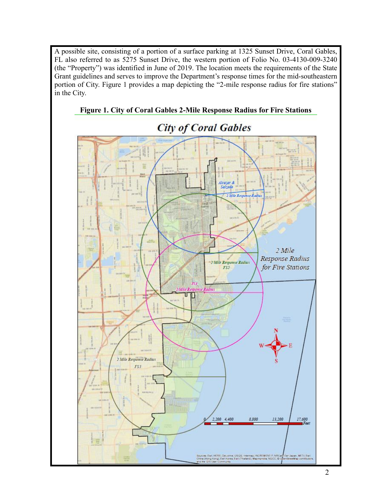A possible site, consisting of a portion of a surface parking at 1325 Sunset Drive, Coral Gables, FL also referred to as 5275 Sunset Drive, the western portion of Folio No. 03-4130-009-3240 (the "Property") was identified in June of 2019. The location meets the requirements of the State Grant guidelines and serves to improve the Department's response times for the mid-southeastern portion of City. Figure 1 provides a map depicting the "2-mile response radius for fire stations" in the City.



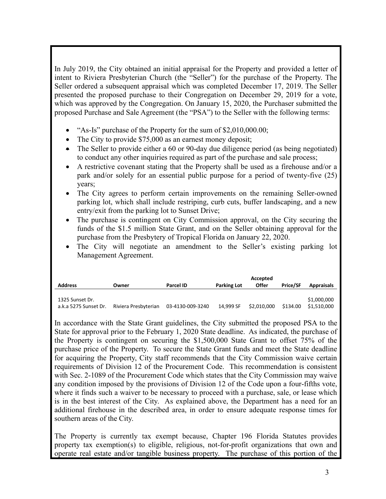In July 2019, the City obtained an initial appraisal for the Property and provided a letter of intent to Riviera Presbyterian Church (the "Seller") for the purchase of the Property. The Seller ordered a subsequent appraisal which was completed December 17, 2019. The Seller presented the proposed purchase to their Congregation on December 29, 2019 for a vote, which was approved by the Congregation. On January 15, 2020, the Purchaser submitted the proposed Purchase and Sale Agreement (the "PSA") to the Seller with the following terms:

- "As-Is" purchase of the Property for the sum of \$2,010,000.00;
- The City to provide \$75,000 as an earnest money deposit;
- The Seller to provide either a 60 or 90-day due diligence period (as being negotiated) to conduct any other inquiries required as part of the purchase and sale process;
- A restrictive covenant stating that the Property shall be used as a firehouse and/or a park and/or solely for an essential public purpose for a period of twenty-five (25) years;
- The City agrees to perform certain improvements on the remaining Seller-owned parking lot, which shall include restriping, curb cuts, buffer landscaping, and a new entry/exit from the parking lot to Sunset Drive;
- The purchase is contingent on City Commission approval, on the City securing the funds of the \$1.5 million State Grant, and on the Seller obtaining approval for the purchase from the Presbytery of Tropical Florida on January 22, 2020.
- The City will negotiate an amendment to the Seller's existing parking lot Management Agreement.

|                       |                      |                  |                    | Accepted    |                 |                   |
|-----------------------|----------------------|------------------|--------------------|-------------|-----------------|-------------------|
| <b>Address</b>        | Owner                | Parcel ID        | <b>Parking Lot</b> | Offer       | <b>Price/SF</b> | <b>Appraisals</b> |
|                       |                      |                  |                    |             |                 |                   |
| 1325 Sunset Dr.       |                      |                  |                    |             |                 | \$1,000,000       |
| a.k.a 5275 Sunset Dr. | Riviera Presbyterian | 03-4130-009-3240 | 14.999 SF          | \$2,010,000 | \$134.00        | \$1.510.000       |

In accordance with the State Grant guidelines, the City submitted the proposed PSA to the State for approval prior to the February 1, 2020 State deadline. As indicated, the purchase of the Property is contingent on securing the \$1,500,000 State Grant to offset 75% of the purchase price of the Property. To secure the State Grant funds and meet the State deadline for acquiring the Property, City staff recommends that the City Commission waive certain requirements of Division 12 of the Procurement Code. This recommendation is consistent with Sec. 2-1089 of the Procurement Code which states that the City Commission may waive any condition imposed by the provisions of Division 12 of the Code upon a four-fifths vote, where it finds such a waiver to be necessary to proceed with a purchase, sale, or lease which is in the best interest of the City. As explained above, the Department has a need for an additional firehouse in the described area, in order to ensure adequate response times for southern areas of the City.

The Property is currently tax exempt because, Chapter 196 Florida Statutes provides property tax exemption(s) to eligible, religious, not-for-profit organizations that own and operate real estate and/or tangible business property. The purchase of this portion of the